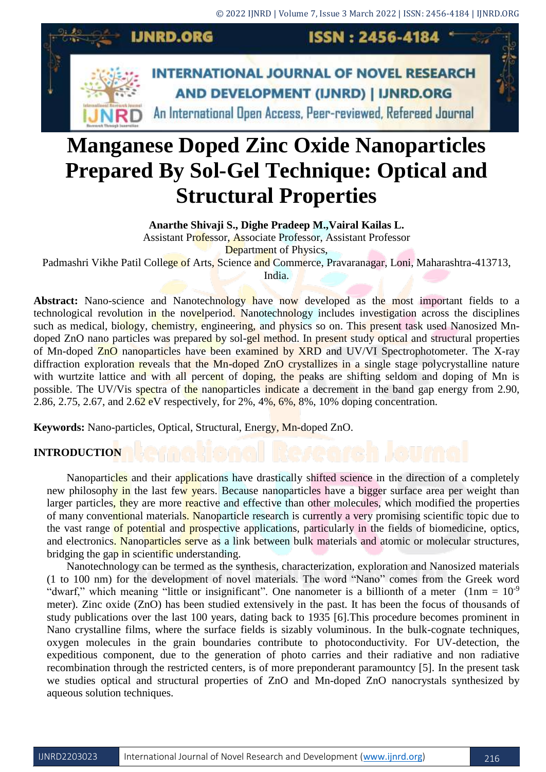

# **Manganese Doped Zinc Oxide Nanoparticles Prepared By Sol-Gel Technique: Optical and Structural Properties**

**Anarthe Shivaji S., Dighe Pradeep M.,Vairal Kailas L.**

Assistant Professor, Associate Professor, Assistant Professor

Department of Physics,

Padmashri Vikhe Patil College of Arts, Science and Commerce, Pravaranagar, Loni, Maharashtra-413713,

India.

Abstract: Nano-science and Nanotechnology have now developed as the most important fields to a technological revolution in the novelperiod. Nanotechnology includes investigation across the disciplines such as medical, biology, chemistry, engineering, and physics so on. This present task used Nanosized Mndoped ZnO nano particles was prepared by sol-gel method. In present study optical and structural properties of Mn-doped ZnO nanoparticles have been examined by XRD and UV/VI Spectrophotometer. The X-ray diffraction exploration reveals that the Mn-doped ZnO crystallizes in a single stage polycrystalline nature with wurtzite lattice and with all percent of doping, the peaks are shifting seldom and doping of Mn is possible. The UV/Vis spectra of the nanoparticles indicate a decrement in the band gap energy from 2.90, 2.86, 2.75, 2.67, and 2.62 eV respectively, for 2%, 4%, 6%, 8%, 10% doping concentration.

**Keywords:** Nano-particles, Optical, Structural, Energy, Mn-doped ZnO.

# **INTRODUCTION**

Nanoparticles and their applications have drastically shifted science in the direction of a completely new philosophy in the last few years. Because nanoparticles have a bigger surface area per weight than larger particles, they are more reactive and effective than other molecules, which modified the properties of many conventional materials. Nanoparticle research is currently a very promising scientific topic due to the vast range of potential and prospective applications, particularly in the fields of biomedicine, optics, and electronics. Nanoparticles serve as a link between bulk materials and atomic or molecular structures, bridging the gap in scientific understanding.

Nanotechnology can be termed as the synthesis, characterization, exploration and Nanosized materials (1 to 100 nm) for the development of novel materials. The word "Nano" comes from the Greek word "dwarf," which meaning "little or insignificant". One nanometer is a billionth of a meter  $(1 \text{nm} = 10^{-9})$ meter). Zinc oxide (ZnO) has been studied extensively in the past. It has been the focus of thousands of study publications over the last 100 years, dating back to 1935 [6].This procedure becomes prominent in Nano crystalline films, where the surface fields is sizably voluminous. In the bulk-cognate techniques, oxygen molecules in the grain boundaries contribute to photoconductivity. For UV-detection, the expeditious component, due to the generation of photo carries and their radiative and non radiative recombination through the restricted centers, is of more preponderant paramountcy [5]. In the present task we studies optical and structural properties of ZnO and Mn-doped ZnO nanocrystals synthesized by aqueous solution techniques.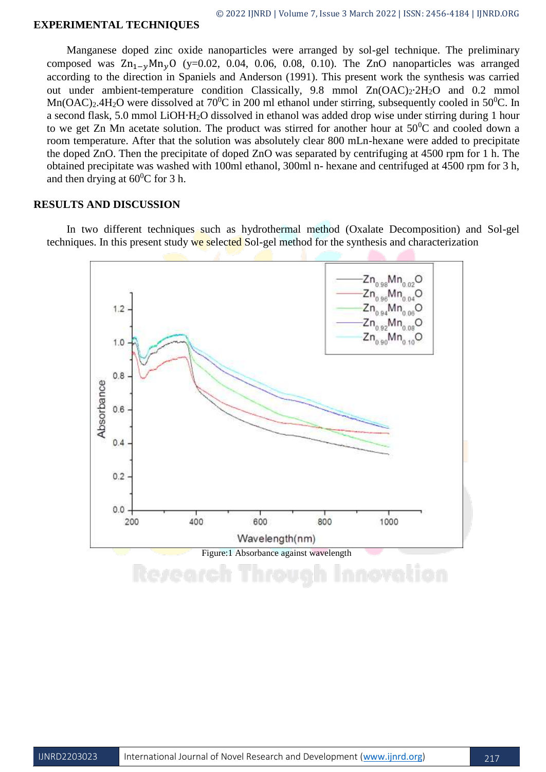#### **EXPERIMENTAL TECHNIQUES**

Manganese doped zinc oxide nanoparticles were arranged by sol-gel technique. The preliminary composed was  $\text{Zn}_{1-\nu} \text{Mn}_{\nu}$ O (y=0.02, 0.04, 0.06, 0.08, 0.10). The ZnO nanoparticles was arranged according to the direction in Spaniels and Anderson (1991). This present work the synthesis was carried out under ambient-temperature condition Classically, 9.8 mmol Zn(OAC)<sub>2</sub>⋅2H<sub>2</sub>O and 0.2 mmol  $Mn(OAC)_2.4H_2O$  were dissolved at 70<sup>0</sup>C in 200 ml ethanol under stirring, subsequently cooled in 50<sup>0</sup>C. In a second flask, 5.0 mmol LiOH∙H2O dissolved in ethanol was added drop wise under stirring during 1 hour to we get Zn Mn acetate solution. The product was stirred for another hour at  $50^{\circ}$ C and cooled down a room temperature. After that the solution was absolutely clear 800 mLn-hexane were added to precipitate the doped ZnO. Then the precipitate of doped ZnO was separated by centrifuging at 4500 rpm for 1 h. The obtained precipitate was washed with 100ml ethanol, 300ml n- hexane and centrifuged at 4500 rpm for 3 h, and then drying at  $60^{\circ}$ C for 3 h.

### **RESULTS AND DISCUSSION**

In two different techniques such as hydrothermal method (Oxalate Decomposition) and Sol-gel techniques. In this present study we selected Sol-gel method for the synthesis and characterization

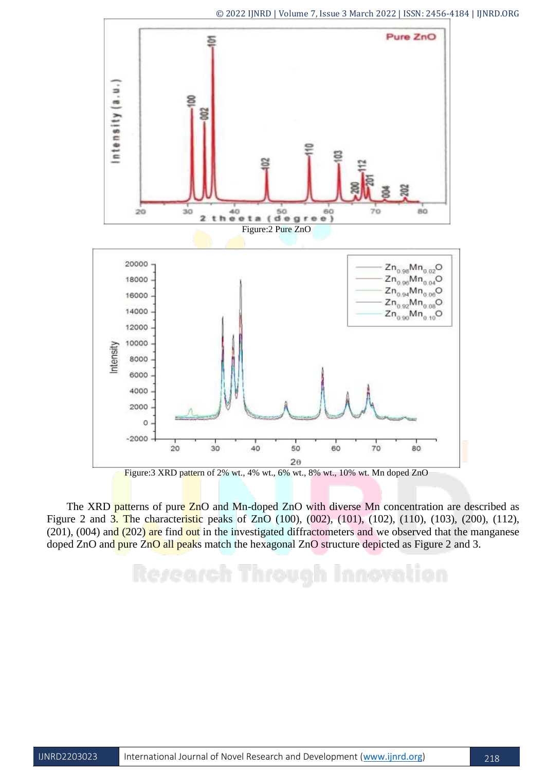

The XRD patterns of pure ZnO and Mn-doped ZnO with diverse Mn concentration are described as Figure 2 and 3. The characteristic peaks of ZnO (100), (002), (101), (102), (110), (103), (200), (112),  $(201)$ ,  $(004)$  and  $(202)$  are find out in the investigated diffractometers and we observed that the manganese doped ZnO and pure ZnO all peaks match the hexagonal ZnO structure depicted as Figure 2 and 3.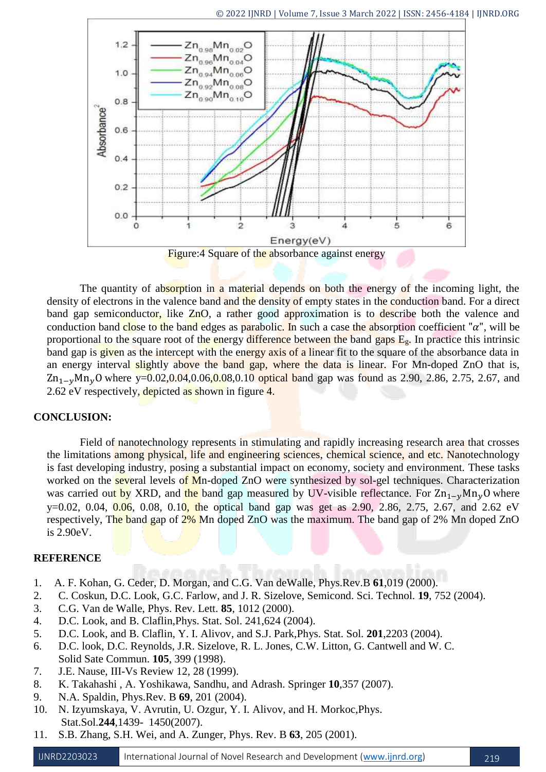

The quantity of absorption in a material depends on both the energy of the incoming light, the density of electrons in the valence band and the density of empty states in the conduction band. For a direct band gap semiconductor, like ZnO, a rather good approximation is to describe both the valence and conduction band close to the band edges as parabolic. In such a case the absorption coefficient " $\alpha$ ", will be proportional to the square root of the energy difference between the band gaps  $E_g$ . In practice this intrinsic band gap is given as the intercept with the energy axis of a linear fit to the square of the absorbance data in an energy interval slightly above the band gap, where the data is linear. For Mn-doped ZnO that is,  $\text{Zn}_{1-v}\text{Mn}_v\text{O}$  where y=0.02,0.04,0.06,0.08,0.10 optical band gap was found as 2.90, 2.86, 2.75, 2.67, and 2.62 eV respectively, depicted as shown in figure 4.

# **CONCLUSION:**

Field of nanotechnology represents in stimulating and rapidly increasing research area that crosses the limitations among physical, life and engineering sciences, chemical science, and etc. Nanotechnology is fast developing industry, posing a substantial impact on economy, society and environment. These tasks worked on the several levels of Mn-doped ZnO were synthesized by sol-gel techniques. Characterization was carried out by XRD, and the band gap measured by UV-visible reflectance. For  $\text{Zn}_{1-v}\text{Mn}_v\text{O}$  where  $y=0.02, 0.04, 0.06, 0.08, 0.10,$  the optical band gap was get as 2.90, 2.86, 2.75, 2.67, and 2.62 eV respectively, The band gap of  $2\%$  Mn doped ZnO was the maximum. The band gap of 2% Mn doped ZnO is 2.90eV.

# **REFERENCE**

- 1. A. F. Kohan, G. Ceder, D. Morgan, and C.G. Van deWalle, Phys.Rev.B **61**,019 (2000).
- 2. C. Coskun, D.C. Look, G.C. Farlow, and J. R. Sizelove, Semicond. Sci. Technol. **19**, 752 (2004).
- 3. C.G. Van de Walle, Phys. Rev. Lett. **85**, 1012 (2000).
- 4. D.C. Look, and B. Claflin,Phys. Stat. Sol. 241,624 (2004).
- 5. D.C. Look, and B. Claflin, Y. I. Alivov, and S.J. Park,Phys. Stat. Sol. **201**,2203 (2004).
- 6. D.C. look, D.C. Reynolds, J.R. Sizelove, R. L. Jones, C.W. Litton, G. Cantwell and W. C. Solid Sate Commun. **105**, 399 (1998).
- 7. J.E. Nause, III-Vs Review 12, 28 (1999).
- 8. K. Takahashi , A. Yoshikawa, Sandhu, and Adrash. Springer **10**,357 (2007).
- 9. N.A. Spaldin, Phys.Rev. B **69**, 201 (2004).
- 10. N. Izyumskaya, V. Avrutin, U. Ozgur, Y. I. Alivov, and H. Morkoc,Phys. Stat.Sol.**244**,1439- 1450(2007).
- 11. S.B. Zhang, S.H. Wei, and A. Zunger, Phys. Rev. B **63**, 205 (2001).